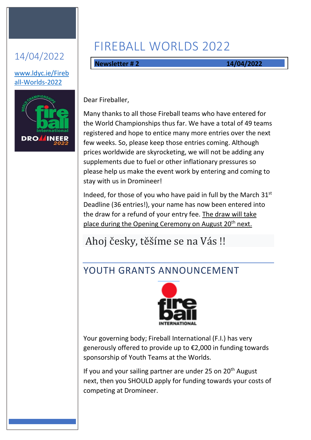### 14/04/2022

#### [www.ldyc.ie/Fireb](http://www.ldyc.ie/Fireball-Worlds-2022) [all-Worlds-2022](http://www.ldyc.ie/Fireball-Worlds-2022)



# FIREBALL WORLDS 2022

**Newsletter # 2 14/04/2022**

Dear Fireballer,

Many thanks to all those Fireball teams who have entered for the World Championships thus far. We have a total of 49 teams registered and hope to entice many more entries over the next few weeks. So, please keep those entries coming. Although prices worldwide are skyrocketing, we will not be adding any supplements due to fuel or other inflationary pressures so please help us make the event work by entering and coming to stay with us in Dromineer!

Indeed, for those of you who have paid in full by the March  $31<sup>st</sup>$ Deadline (36 entries!), your name has now been entered into the draw for a refund of your entry fee. The draw will take place during the Opening Ceremony on August 20<sup>th</sup> next.

### Ahoj česky, těšíme se na Vás !!

### YOUTH GRANTS ANNOUNCEMENT



Your governing body; Fireball International (F.I.) has very generously offered to provide up to €2,000 in funding towards sponsorship of Youth Teams at the Worlds.

If you and your sailing partner are under 25 on 20<sup>th</sup> August next, then you SHOULD apply for funding towards your costs of competing at Dromineer.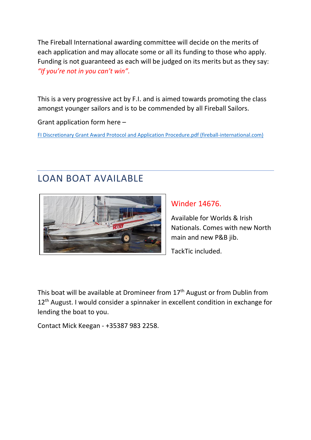The Fireball International awarding committee will decide on the merits of each application and may allocate some or all its funding to those who apply. Funding is not guaranteed as each will be judged on its merits but as they say: *"If you're not in you can't win".*

This is a very progressive act by F.I. and is aimed towards promoting the class amongst younger sailors and is to be commended by all Fireball Sailors.

Grant application form here –

[FI Discretionary Grant Award Protocol and Application Procedure.pdf \(fireball-international.com\)](https://www.fireball-international.com/media/83376/FI%20Discretionary%20Grant%20Award%20Protocol%20and%20Application%20Procedure.pdf)

#### LOAN BOAT AVAILABLE



#### Winder 14676.

Available for Worlds & Irish Nationals. Comes with new North main and new P&B jib.

TackTic included.

This boat will be available at Dromineer from 17<sup>th</sup> August or from Dublin from 12<sup>th</sup> August. I would consider a spinnaker in excellent condition in exchange for lending the boat to you.

Contact Mick Keegan - +35387 983 2258.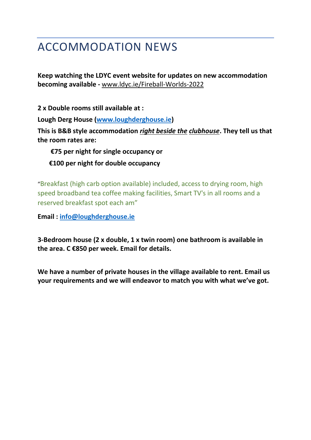### ACCOMMODATION NEWS

**Keep watching the LDYC event website for updates on new accommodation becoming available -** [www.ldyc.ie/Fireball-Worlds-2022](http://www.ldyc.ie/Fireball-Worlds-2022)

**2 x Double rooms still available at :**

**Lough Derg House [\(www.loughderghouse.ie\)](http://www.loughderghouse.ie/)**

**This is B&B style accommodation** *right beside the clubhouse***. They tell us that the room rates are:**

 **€75 per night for single occupancy or €100 per night for double occupancy**

"Breakfast (high carb option available) included, access to drying room, high speed broadband tea coffee making facilities, Smart TV's in all rooms and a reserved breakfast spot each am"

**Email : [info@loughderghouse.ie](mailto:info@loughderghouse.ie)**

**3-Bedroom house (2 x double, 1 x twin room) one bathroom is available in the area. C €850 per week. Email for details.** 

**We have a number of private houses in the village available to rent. Email us your requirements and we will endeavor to match you with what we've got.**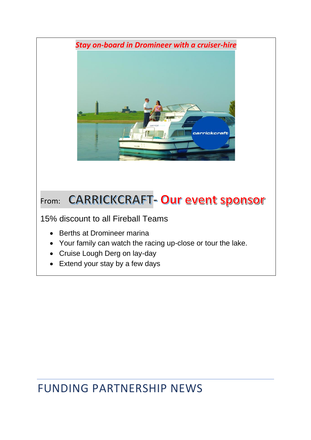

15% discount to all Fireball Teams

- Berths at Dromineer marina
- Your family can watch the racing up-close or tour the lake.
- Cruise Lough Derg on lay-day
- Extend your stay by a few days

## FUNDING PARTNERSHIP NEWS